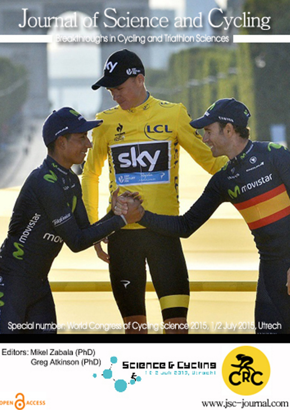## Journal of Science and Cycling

Breakthroughs in Cycling and Triathlon Sciences



Editors: Mikel Zabala (PhD) Greg Atkinson (PhD)

OPEN CACCESS





www.jsc-journal.com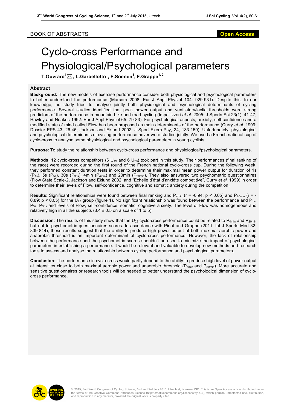## Cyclo-cross Performance and Physiological/Psychological parameters

**T.Ouvrard<sup>1</sup>** \***, L.Garbellotto<sup>1</sup> , F.Soenen<sup>1</sup> , F.Grappe1, 2**

## **Abstract**

**Background:** The new models of exercise performance consider both physiological and psychological parameters to better understand the performance (Marcora 2008: Eur J Appl Physiol 104: 929-931). Despite this, to our knowledge, no study tried to analyse jointly both physiological and psychological determinants of cycling performance. Several studies identified that peak power output and ventilatory/lactic thresholds were strong predictors of the performance in mountain bike and road cycling (Impellizzeri *et al*. 2005: J Sports Sci 23(1): 41-47; Hawley and Noakes 1992: Eur J Appl Physiol 65: 79-83). For psychological aspects, anxiety, self-confidence and a modified state of mind called Flow has been proposed as main determinants of the performance (Curry *et al*. 1999: Dossier EPS 43: 26-45; Jackson and Eklund 2002: J Sport Exerc Psy, 24, 133-150). Unfortunately, physiological and psychological determinants of cycling performance never were studied jointly. We used a French national cup of cyclo-cross to analyse some physiological and psychological parameters in young cyclists.

**Purpose**: To study the relationship between cyclo-cross performance and physiological/psychological parameters.

**Methods**: 12 cyclo-cross competitors (6 U<sub>19</sub> and 6 U<sub>23</sub>) took part in this study. Their performances (final ranking of the race) were recorded during the first round of the French national cyclo-cross cup. During the following week, they performed constant duration tests in order to determine their maximal mean power output for duration of 1s  $(P_{1s})$ , 5s  $(P_{5s})$ , 30s  $(P_{30s})$ , 4min  $(P_{4min})$  and 20min  $(P_{20min})$ . They also answered two psychometric questionnaires (Flow State Scale-2, Jackson and Eklund 2002; and "Echelle d'état d'anxiété competitive", Curry *et al.* 1999) in order to determine their levels of Flow, self-confidence, cognitive and somatic anxiety during the competition.

**Results**: Significant relationships were found between final ranking and  $P_{4min}$  ( $r = -0.94$ ;  $p < 0.05$ ) and  $P_{20min}$  ( $r = -1$ ) 0.89;  $p < 0.05$ ) for the U<sub>23</sub> group (figure 1). No significant relationship was found between the performance and P<sub>1s</sub>, P<sub>5s</sub>, P<sub>30s</sub> and levels of Flow, self-confidence, somatic, cognitive anxiety. The level of Flow was homogeneous and relatively high in all the subjects  $(3.4 \pm 0.5 \text{ on a scale of 1 to 5}).$ 

**Discussion**: The results of this study show that the U<sub>23</sub> cyclo-cross performance could be related to  $P_{4min}$  and  $P_{20min}$ but not to psychometric questionnaires scores. In accordance with Pinot and Grappe (2011: Int J Sports Med 32: 839-844), these results suggest that the ability to produce high power output at both maximal aerobic power and anaerobic threshold is an important determinant of cyclo-cross performance. However, the lack of relationship between the performance and the psychometric scores shouldn't be used to minimize the impact of psychological parameters in establishing a performance. It would be relevant and valuable to develop new methods and research tools to assess and analyse the relationship between cycling performance and psychological parameters.

**Conclusion**: The performance in cyclo-cross would partly depend to the ability to produce high level of power output at intensities close to both maximal aerobic power and anaerobic threshold ( $P_{4min}$  and  $P_{20min}$ ). More accurate and sensitive questionnaires or research tools will be needed to better understand the psychological dimension of cyclocross performance.